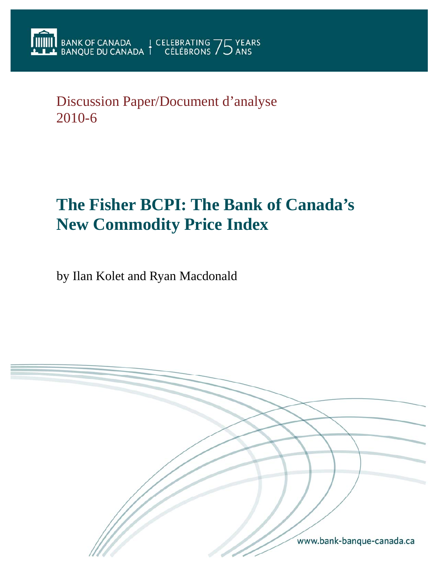Discussion Paper/Document d'analyse 2010-6

# **The Fisher BCPI: The Bank of Canada's New Commodity Price Index**

by Ilan Kolet and Ryan Macdonald

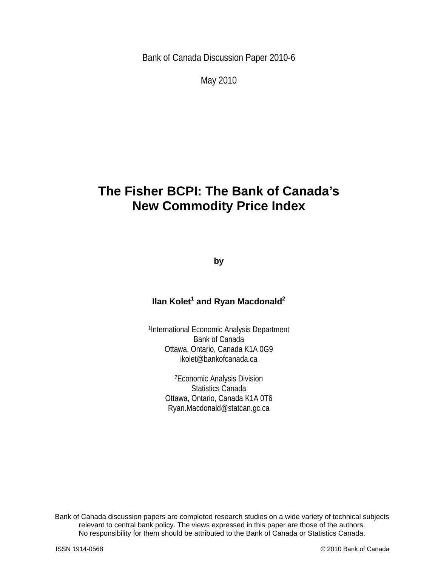Bank of Canada Discussion Paper 2010-6

May 2010

## **The Fisher BCPI: The Bank of Canada's New Commodity Price Index**

**by** 

### **Ilan Kolet<sup>1</sup> and Ryan Macdonald<sup>2</sup>**

1International Economic Analysis Department Bank of Canada Ottawa, Ontario, Canada K1A 0G9 ikolet@bankofcanada.ca

> 2Economic Analysis Division Statistics Canada Ottawa, Ontario, Canada K1A 0T6 Ryan.Macdonald@statcan.gc.ca

2 No responsibility for them should be attributed to the Bank of Canada or Statistics Canada. Bank of Canada discussion papers are completed research studies on a wide variety of technical subjects relevant to central bank policy. The views expressed in this paper are those of the authors.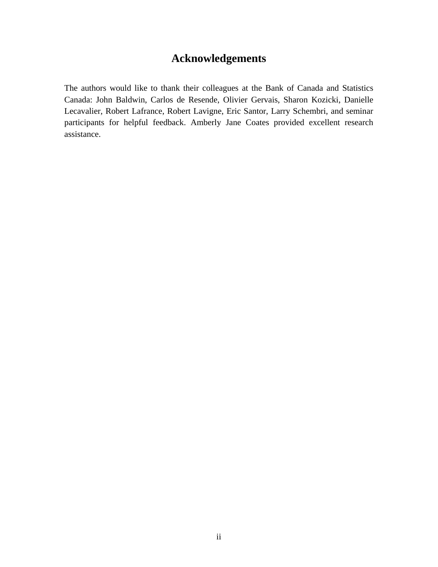## **Acknowledgements**

The authors would like to thank their colleagues at the Bank of Canada and Statistics Canada: John Baldwin, Carlos de Resende, Olivier Gervais, Sharon Kozicki, Danielle Lecavalier, Robert Lafrance, Robert Lavigne, Eric Santor, Larry Schembri, and seminar participants for helpful feedback. Amberly Jane Coates provided excellent research assistance.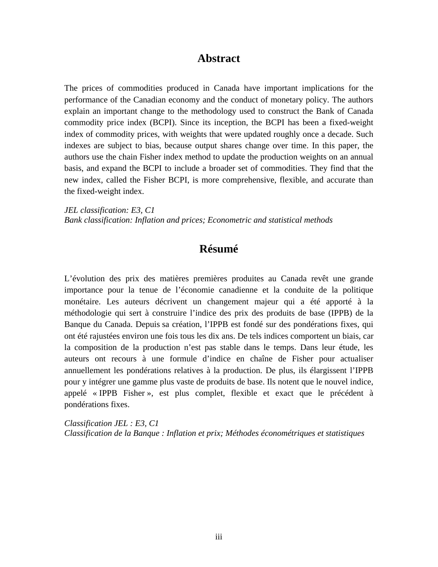## **Abstract**

The prices of commodities produced in Canada have important implications for the performance of the Canadian economy and the conduct of monetary policy. The authors explain an important change to the methodology used to construct the Bank of Canada commodity price index (BCPI). Since its inception, the BCPI has been a fixed-weight index of commodity prices, with weights that were updated roughly once a decade. Such indexes are subject to bias, because output shares change over time. In this paper, the authors use the chain Fisher index method to update the production weights on an annual basis, and expand the BCPI to include a broader set of commodities. They find that the new index, called the Fisher BCPI, is more comprehensive, flexible, and accurate than the fixed-weight index.

*JEL classification: E3, C1 Bank classification: Inflation and prices; Econometric and statistical methods* 

## **Résumé**

L'évolution des prix des matières premières produites au Canada revêt une grande importance pour la tenue de l'économie canadienne et la conduite de la politique monétaire. Les auteurs décrivent un changement majeur qui a été apporté à la méthodologie qui sert à construire l'indice des prix des produits de base (IPPB) de la Banque du Canada. Depuis sa création, l'IPPB est fondé sur des pondérations fixes, qui ont été rajustées environ une fois tous les dix ans. De tels indices comportent un biais, car la composition de la production n'est pas stable dans le temps. Dans leur étude, les auteurs ont recours à une formule d'indice en chaîne de Fisher pour actualiser annuellement les pondérations relatives à la production. De plus, ils élargissent l'IPPB pour y intégrer une gamme plus vaste de produits de base. Ils notent que le nouvel indice, appelé « IPPB Fisher », est plus complet, flexible et exact que le précédent à pondérations fixes.

*Classification JEL : E3, C1 Classification de la Banque : Inflation et prix; Méthodes économétriques et statistiques*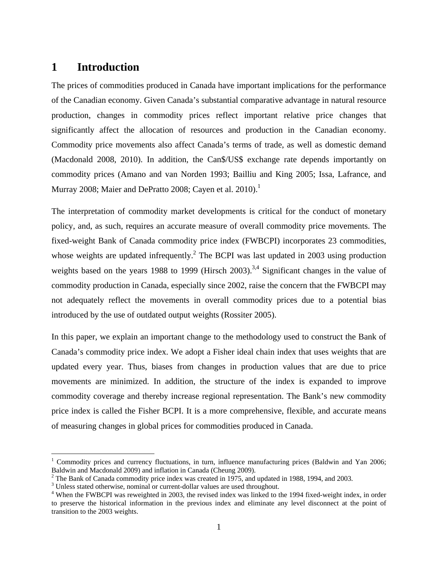## **1 Introduction**

The prices of commodities produced in Canada have important implications for the performance of the Canadian economy. Given Canada's substantial comparative advantage in natural resource production, changes in commodity prices reflect important relative price changes that significantly affect the allocation of resources and production in the Canadian economy. Commodity price movements also affect Canada's terms of trade, as well as domestic demand (Macdonald 2008, 2010). In addition, the Can\$/US\$ exchange rate depends importantly on commodity prices (Amano and van Norden 1993; Bailliu and King 2005; Issa, Lafrance, and Murray 2008; Maier and DePratto 2008; Cayen et al. 2010). $^1$ 

The interpretation of commodity market developments is critical for the conduct of monetary policy, and, as such, requires an accurate measure of overall commodity price movements. The fixed-weight Bank of Canada commodity price index (FWBCPI) incorporates 23 commodities, whose weights are updated infrequently.<sup>2</sup> The BCPI was last updated in 2003 using production weights based on the years 1988 to 1999 (Hirsch 2003).<sup>3,4</sup> Significant changes in the value of commodity production in Canada, especially since 2002, raise the concern that the FWBCPI may not adequately reflect the movements in overall commodity prices due to a potential bias introduced by the use of outdated output weights (Rossiter 2005).

In this paper, we explain an important change to the methodology used to construct the Bank of Canada's commodity price index. We adopt a Fisher ideal chain index that uses weights that are updated every year. Thus, biases from changes in production values that are due to price movements are minimized. In addition, the structure of the index is expanded to improve commodity coverage and thereby increase regional representation. The Bank's new commodity price index is called the Fisher BCPI. It is a more comprehensive, flexible, and accurate means of measuring changes in global prices for commodities produced in Canada.

 $\overline{a}$ 

<sup>&</sup>lt;sup>1</sup> Commodity prices and currency fluctuations, in turn, influence manufacturing prices (Baldwin and Yan 2006; Baldwin and Macdonald 2009) and inflation in Canada (Cheung 2009).

 $2^2$  The Bank of Canada commodity price index was created in 1975, and updated in 1988, 1994, and 2003.

<sup>&</sup>lt;sup>3</sup> Unless stated otherwise, nominal or current-dollar values are used throughout.

<sup>&</sup>lt;sup>4</sup> When the FWBCPI was reweighted in 2003, the revised index was linked to the 1994 fixed-weight index, in order to preserve the historical information in the previous index and eliminate any level disconnect at the point of transition to the 2003 weights.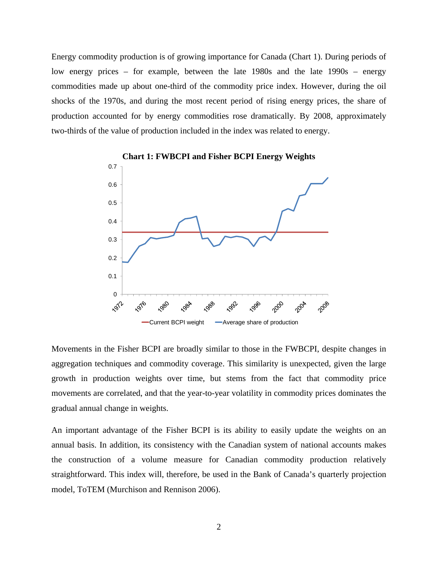Energy commodity production is of growing importance for Canada (Chart 1). During periods of low energy prices – for example, between the late 1980s and the late 1990s – energy commodities made up about one-third of the commodity price index. However, during the oil shocks of the 1970s, and during the most recent period of rising energy prices, the share of production accounted for by energy commodities rose dramatically. By 2008, approximately two-thirds of the value of production included in the index was related to energy.



Movements in the Fisher BCPI are broadly similar to those in the FWBCPI, despite changes in aggregation techniques and commodity coverage. This similarity is unexpected, given the large growth in production weights over time, but stems from the fact that commodity price movements are correlated, and that the year-to-year volatility in commodity prices dominates the gradual annual change in weights.

An important advantage of the Fisher BCPI is its ability to easily update the weights on an annual basis. In addition, its consistency with the Canadian system of national accounts makes the construction of a volume measure for Canadian commodity production relatively straightforward. This index will, therefore, be used in the Bank of Canada's quarterly projection model, ToTEM (Murchison and Rennison 2006).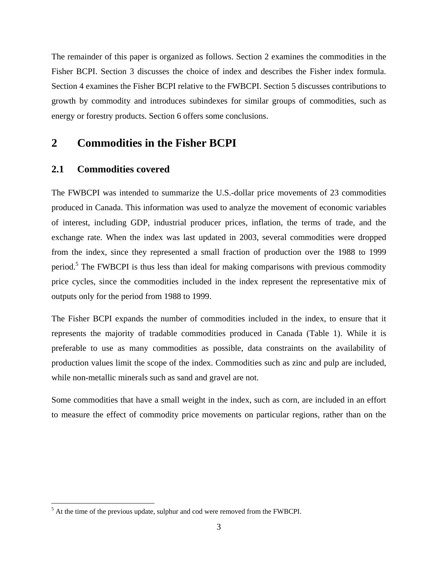The remainder of this paper is organized as follows. Section 2 examines the commodities in the Fisher BCPI. Section 3 discusses the choice of index and describes the Fisher index formula. Section 4 examines the Fisher BCPI relative to the FWBCPI. Section 5 discusses contributions to growth by commodity and introduces subindexes for similar groups of commodities, such as energy or forestry products. Section 6 offers some conclusions.

## **2 Commodities in the Fisher BCPI**

#### **2.1 Commodities covered**

 $\overline{a}$ 

The FWBCPI was intended to summarize the U.S.-dollar price movements of 23 commodities produced in Canada. This information was used to analyze the movement of economic variables of interest, including GDP, industrial producer prices, inflation, the terms of trade, and the exchange rate. When the index was last updated in 2003, several commodities were dropped from the index, since they represented a small fraction of production over the 1988 to 1999 period.<sup>5</sup> The FWBCPI is thus less than ideal for making comparisons with previous commodity price cycles, since the commodities included in the index represent the representative mix of outputs only for the period from 1988 to 1999.

The Fisher BCPI expands the number of commodities included in the index, to ensure that it represents the majority of tradable commodities produced in Canada (Table 1). While it is preferable to use as many commodities as possible, data constraints on the availability of production values limit the scope of the index. Commodities such as zinc and pulp are included, while non-metallic minerals such as sand and gravel are not.

Some commodities that have a small weight in the index, such as corn, are included in an effort to measure the effect of commodity price movements on particular regions, rather than on the

 $<sup>5</sup>$  At the time of the previous update, sulphur and cod were removed from the FWBCPI.</sup>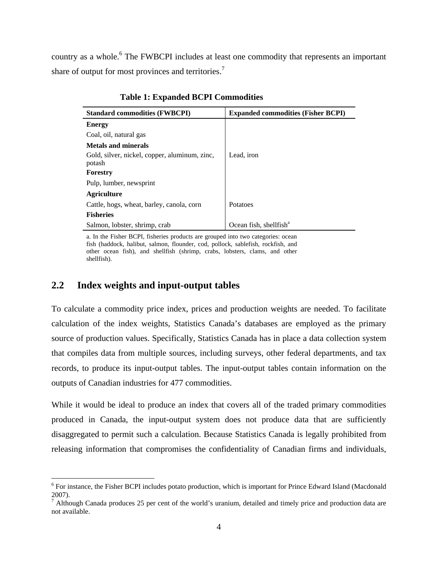country as a whole.<sup>6</sup> The FWBCPI includes at least one commodity that represents an important share of output for most provinces and territories.<sup>7</sup>

| <b>Standard commodities (FWBCPI)</b>                    | <b>Expanded commodities (Fisher BCPI)</b> |
|---------------------------------------------------------|-------------------------------------------|
| <b>Energy</b>                                           |                                           |
| Coal, oil, natural gas                                  |                                           |
| <b>Metals and minerals</b>                              |                                           |
| Gold, silver, nickel, copper, aluminum, zinc,<br>potash | Lead, iron                                |
| Forestry                                                |                                           |
| Pulp, lumber, newsprint                                 |                                           |
| <b>Agriculture</b>                                      |                                           |
| Cattle, hogs, wheat, barley, canola, corn               | <b>Potatoes</b>                           |
| <b>Fisheries</b>                                        |                                           |
| Salmon, lobster, shrimp, crab                           | Ocean fish, shellfish <sup>a</sup>        |
|                                                         |                                           |

**Table 1: Expanded BCPI Commodities** 

a. In the Fisher BCPI, fisheries products are grouped into two categories: ocean fish (haddock, halibut, salmon, flounder, cod, pollock, sablefish, rockfish, and other ocean fish), and shellfish (shrimp, crabs, lobsters, clams, and other shellfish).

### **2.2 Index weights and input-output tables**

 $\overline{a}$ 

To calculate a commodity price index, prices and production weights are needed. To facilitate calculation of the index weights, Statistics Canada's databases are employed as the primary source of production values. Specifically, Statistics Canada has in place a data collection system that compiles data from multiple sources, including surveys, other federal departments, and tax records, to produce its input-output tables. The input-output tables contain information on the outputs of Canadian industries for 477 commodities.

While it would be ideal to produce an index that covers all of the traded primary commodities produced in Canada, the input-output system does not produce data that are sufficiently disaggregated to permit such a calculation. Because Statistics Canada is legally prohibited from releasing information that compromises the confidentiality of Canadian firms and individuals,

<sup>&</sup>lt;sup>6</sup> For instance, the Fisher BCPI includes potato production, which is important for Prince Edward Island (Macdonald 2007).<br><sup>7</sup> Although Canada produces 25 per cent of the world's uranium, detailed and timely price and production data are

not available.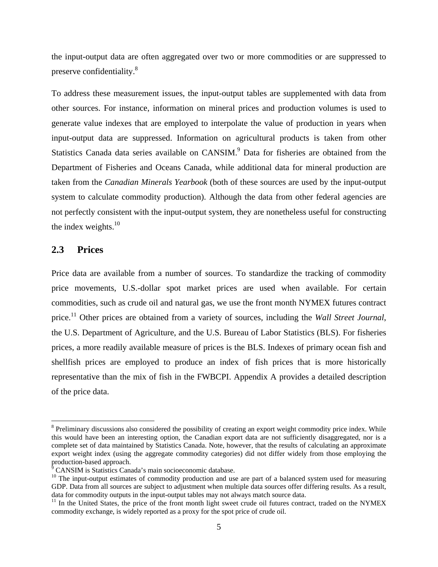the input-output data are often aggregated over two or more commodities or are suppressed to preserve confidentiality.<sup>8</sup>

To address these measurement issues, the input-output tables are supplemented with data from other sources. For instance, information on mineral prices and production volumes is used to generate value indexes that are employed to interpolate the value of production in years when input-output data are suppressed. Information on agricultural products is taken from other Statistics Canada data series available on CANSIM.<sup>9</sup> Data for fisheries are obtained from the Department of Fisheries and Oceans Canada, while additional data for mineral production are taken from the *Canadian Minerals Yearbook* (both of these sources are used by the input-output system to calculate commodity production). Although the data from other federal agencies are not perfectly consistent with the input-output system, they are nonetheless useful for constructing the index weights. $10$ 

### **2.3 Prices**

1

Price data are available from a number of sources. To standardize the tracking of commodity price movements, U.S.-dollar spot market prices are used when available. For certain commodities, such as crude oil and natural gas, we use the front month NYMEX futures contract price.11 Other prices are obtained from a variety of sources, including the *Wall Street Journal*, the U.S. Department of Agriculture, and the U.S. Bureau of Labor Statistics (BLS). For fisheries prices, a more readily available measure of prices is the BLS. Indexes of primary ocean fish and shellfish prices are employed to produce an index of fish prices that is more historically representative than the mix of fish in the FWBCPI. Appendix A provides a detailed description of the price data.

<sup>&</sup>lt;sup>8</sup> Preliminary discussions also considered the possibility of creating an export weight commodity price index. While this would have been an interesting option, the Canadian export data are not sufficiently disaggregated, nor is a complete set of data maintained by Statistics Canada. Note, however, that the results of calculating an approximate export weight index (using the aggregate commodity categories) did not differ widely from those employing the production-based approach.

<sup>&</sup>lt;sup>9</sup> CANSIM is Statistics Canada's main socioeconomic database.

 $10$  The input-output estimates of commodity production and use are part of a balanced system used for measuring GDP. Data from all sources are subject to adjustment when multiple data sources offer differing results. As a result, data for commodity outputs in the input-output tables may not always match source data.

<sup>&</sup>lt;sup>11</sup> In the United States, the price of the front month light sweet crude oil futures contract, traded on the NYMEX commodity exchange, is widely reported as a proxy for the spot price of crude oil.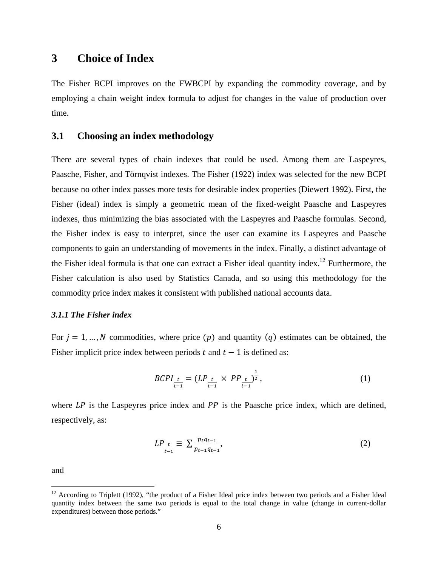## **3 Choice of Index**

The Fisher BCPI improves on the FWBCPI by expanding the commodity coverage, and by employing a chain weight index formula to adjust for changes in the value of production over time.

#### **3.1 Choosing an index methodology**

There are several types of chain indexes that could be used. Among them are Laspeyres, Paasche, Fisher, and Törnqvist indexes. The Fisher (1922) index was selected for the new BCPI because no other index passes more tests for desirable index properties (Diewert 1992). First, the Fisher (ideal) index is simply a geometric mean of the fixed-weight Paasche and Laspeyres indexes, thus minimizing the bias associated with the Laspeyres and Paasche formulas. Second, the Fisher index is easy to interpret, since the user can examine its Laspeyres and Paasche components to gain an understanding of movements in the index. Finally, a distinct advantage of the Fisher ideal formula is that one can extract a Fisher ideal quantity index.<sup>12</sup> Furthermore, the Fisher calculation is also used by Statistics Canada, and so using this methodology for the commodity price index makes it consistent with published national accounts data.

#### *3.1.1 The Fisher index*

For  $j = 1, ..., N$  commodities, where price  $(p)$  and quantity  $(q)$  estimates can be obtained, the Fisher implicit price index between periods  $t$  and  $t - 1$  is defined as:

$$
BCPI_{\frac{t}{t-1}} = (LP_{\frac{t}{t-1}} \times PP_{\frac{t}{t-1}})^{\frac{1}{2}}, \tag{1}
$$

where  $LP$  is the Laspeyres price index and  $PP$  is the Paasche price index, which are defined, respectively, as:

$$
LP_{\frac{t}{t-1}} \equiv \sum \frac{p_t q_{t-1}}{p_{t-1} q_{t-1}},\tag{2}
$$

and

 $\overline{a}$ 

 $12$  According to Triplett (1992), "the product of a Fisher Ideal price index between two periods and a Fisher Ideal quantity index between the same two periods is equal to the total change in value (change in current-dollar expenditures) between those periods."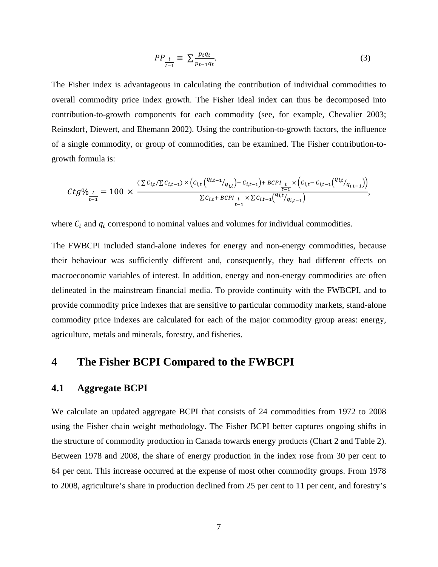$$
PP_{\frac{t}{t-1}} \equiv \sum_{pt-1}^{\frac{ptqt}{p_t-1}}.
$$
 (3)

The Fisher index is advantageous in calculating the contribution of individual commodities to overall commodity price index growth. The Fisher ideal index can thus be decomposed into contribution-to-growth components for each commodity (see, for example, Chevalier 2003; Reinsdorf, Diewert, and Ehemann 2002). Using the contribution-to-growth factors, the influence of a single commodity, or group of commodities, can be examined. The Fisher contribution-togrowth formula is:

$$
Ctg\%_{\frac{t}{t-1}} = 100 \times \frac{(\sum c_{i,t}/\sum c_{i,t-1}) \times (c_{i,t} {q_{i,t-1}/q_{i,t}) - c_{i,t-1}}) + BCPI_{\frac{t}{t-1}} \times (c_{i,t} - c_{i,t-1} {q_{i,t}/q_{i,t-1}})}{\sum c_{i,t} + BCPI_{\frac{t}{t-1}} \times \sum c_{i,t-1} {q_{i,t}/q_{i,t-1}}},
$$

where  $C_i$  and  $q_i$  correspond to nominal values and volumes for individual commodities.

The FWBCPI included stand-alone indexes for energy and non-energy commodities, because their behaviour was sufficiently different and, consequently, they had different effects on macroeconomic variables of interest. In addition, energy and non-energy commodities are often delineated in the mainstream financial media. To provide continuity with the FWBCPI, and to provide commodity price indexes that are sensitive to particular commodity markets, stand-alone commodity price indexes are calculated for each of the major commodity group areas: energy, agriculture, metals and minerals, forestry, and fisheries.

## **4 The Fisher BCPI Compared to the FWBCPI**

#### **4.1 Aggregate BCPI**

We calculate an updated aggregate BCPI that consists of 24 commodities from 1972 to 2008 using the Fisher chain weight methodology. The Fisher BCPI better captures ongoing shifts in the structure of commodity production in Canada towards energy products (Chart 2 and Table 2). Between 1978 and 2008, the share of energy production in the index rose from 30 per cent to 64 per cent. This increase occurred at the expense of most other commodity groups. From 1978 to 2008, agriculture's share in production declined from 25 per cent to 11 per cent, and forestry's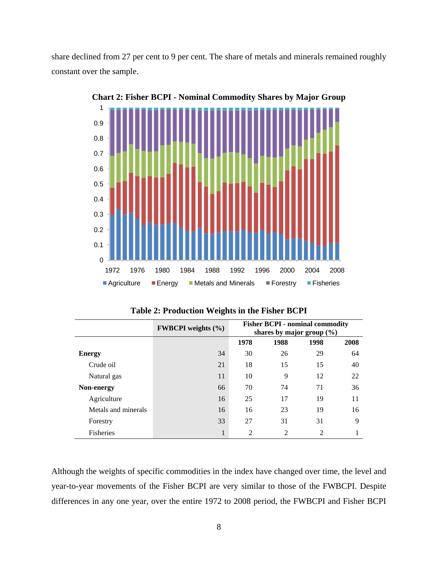share declined from 27 per cent to 9 per cent. The share of metals and minerals remained roughly constant over the sample.



**Chart 2: Fisher BCPI - Nominal Commodity Shares by Major Group** 

| Table 2: Production Weights in the Fisher BCPI |  |  |  |  |  |
|------------------------------------------------|--|--|--|--|--|
|------------------------------------------------|--|--|--|--|--|

|                     | <b>FWBCPI</b> weights (%) | <b>Fisher BCPI - nominal commodity</b><br>shares by major group $(\% )$ |                |      |      |
|---------------------|---------------------------|-------------------------------------------------------------------------|----------------|------|------|
|                     |                           | 1978                                                                    | 1988           | 1998 | 2008 |
| <b>Energy</b>       | 34                        | 30                                                                      | 26             | 29   | 64   |
| Crude oil           | 21                        | 18                                                                      | 15             | 15   | 40   |
| Natural gas         | 11                        | 10                                                                      | 9              | 12   | 22   |
| Non-energy          | 66                        | 70                                                                      | 74             | 71   | 36   |
| Agriculture         | 16                        | 25                                                                      | 17             | 19   | 11   |
| Metals and minerals | 16                        | 16                                                                      | 23             | 19   | 16   |
| Forestry            | 33                        | 27                                                                      | 31             | 31   | 9    |
| <b>Fisheries</b>    | $\mathbf{1}$              | $\overline{2}$                                                          | $\overline{2}$ | 2    |      |

Although the weights of specific commodities in the index have changed over time, the level and year-to-year movements of the Fisher BCPI are very similar to those of the FWBCPI. Despite differences in any one year, over the entire 1972 to 2008 period, the FWBCPI and Fisher BCPI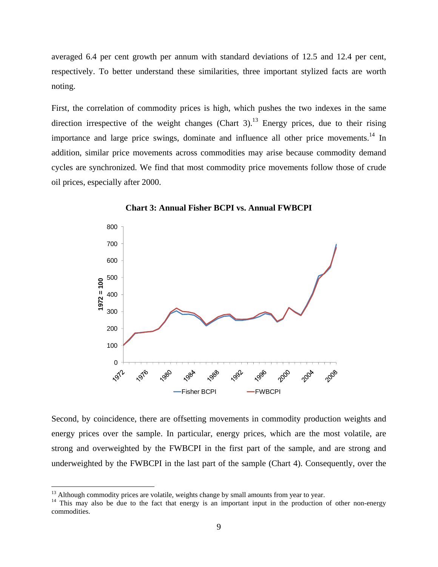averaged 6.4 per cent growth per annum with standard deviations of 12.5 and 12.4 per cent, respectively. To better understand these similarities, three important stylized facts are worth noting.

First, the correlation of commodity prices is high, which pushes the two indexes in the same direction irrespective of the weight changes (Chart 3).<sup>13</sup> Energy prices, due to their rising importance and large price swings, dominate and influence all other price movements.<sup>14</sup> In addition, similar price movements across commodities may arise because commodity demand cycles are synchronized. We find that most commodity price movements follow those of crude oil prices, especially after 2000.





Second, by coincidence, there are offsetting movements in commodity production weights and energy prices over the sample. In particular, energy prices, which are the most volatile, are strong and overweighted by the FWBCPI in the first part of the sample, and are strong and underweighted by the FWBCPI in the last part of the sample (Chart 4). Consequently, over the

 $\overline{a}$ 

<sup>&</sup>lt;sup>13</sup> Although commodity prices are volatile, weights change by small amounts from year to year.<br><sup>14</sup> This may also be due to the fact that energy is an important input in the production of other non-energy commodities.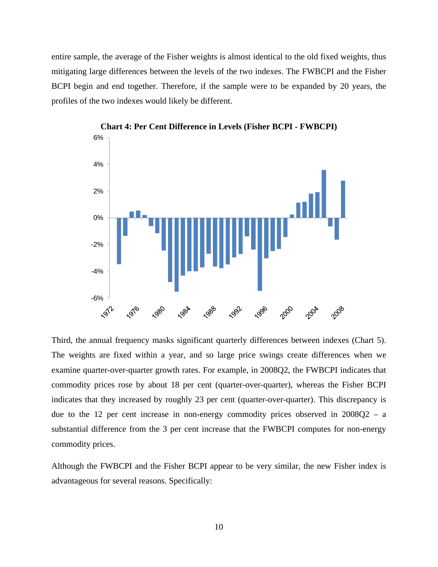entire sample, the average of the Fisher weights is almost identical to the old fixed weights, thus mitigating large differences between the levels of the two indexes. The FWBCPI and the Fisher BCPI begin and end together. Therefore, if the sample were to be expanded by 20 years, the profiles of the two indexes would likely be different.



**Chart 4: Per Cent Difference in Levels (Fisher BCPI - FWBCPI)** 

Third, the annual frequency masks significant quarterly differences between indexes (Chart 5). The weights are fixed within a year, and so large price swings create differences when we examine quarter-over-quarter growth rates. For example, in 2008Q2, the FWBCPI indicates that commodity prices rose by about 18 per cent (quarter-over-quarter), whereas the Fisher BCPI indicates that they increased by roughly 23 per cent (quarter-over-quarter). This discrepancy is due to the 12 per cent increase in non-energy commodity prices observed in 2008Q2 – a substantial difference from the 3 per cent increase that the FWBCPI computes for non-energy commodity prices.

Although the FWBCPI and the Fisher BCPI appear to be very similar, the new Fisher index is advantageous for several reasons. Specifically: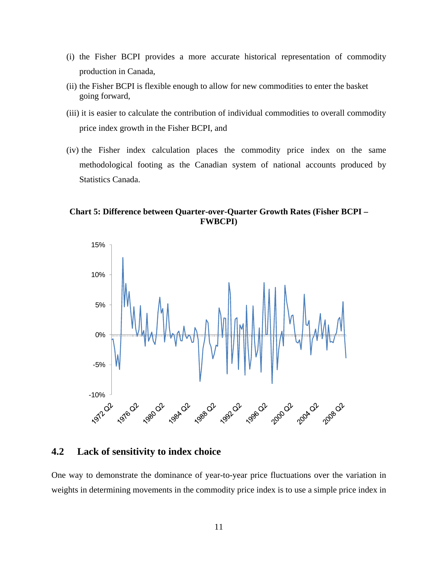- (i) the Fisher BCPI provides a more accurate historical representation of commodity production in Canada,
- (ii) the Fisher BCPI is flexible enough to allow for new commodities to enter the basket going forward,
- (iii) it is easier to calculate the contribution of individual commodities to overall commodity price index growth in the Fisher BCPI, and
- (iv) the Fisher index calculation places the commodity price index on the same methodological footing as the Canadian system of national accounts produced by Statistics Canada.

**Chart 5: Difference between Quarter-over-Quarter Growth Rates (Fisher BCPI – FWBCPI)** 



#### **4.2 Lack of sensitivity to index choice**

One way to demonstrate the dominance of year-to-year price fluctuations over the variation in weights in determining movements in the commodity price index is to use a simple price index in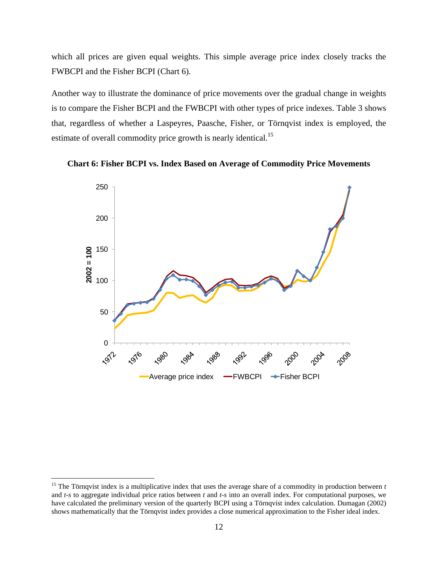which all prices are given equal weights. This simple average price index closely tracks the FWBCPI and the Fisher BCPI (Chart 6).

Another way to illustrate the dominance of price movements over the gradual change in weights is to compare the Fisher BCPI and the FWBCPI with other types of price indexes. Table 3 shows that, regardless of whether a Laspeyres, Paasche, Fisher, or Törnqvist index is employed, the estimate of overall commodity price growth is nearly identical.<sup>15</sup>





<u>.</u>

<sup>&</sup>lt;sup>15</sup> The Törnqvist index is a multiplicative index that uses the average share of a commodity in production between *t* and *t*-*s* to aggregate individual price ratios between *t* and *t*-*s* into an overall index. For computational purposes, we have calculated the preliminary version of the quarterly BCPI using a Törnqvist index calculation. Dumagan (2002) shows mathematically that the Törnqvist index provides a close numerical approximation to the Fisher ideal index.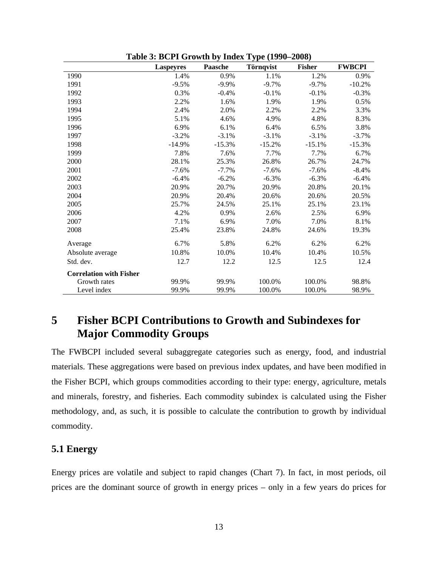|                                | <b>Laspeyres</b> | <b>Paasche</b> | Törnqvist | <b>Fisher</b> | <b>FWBCPI</b> |
|--------------------------------|------------------|----------------|-----------|---------------|---------------|
| 1990                           | 1.4%             | 0.9%           | 1.1%      | 1.2%          | 0.9%          |
| 1991                           | $-9.5%$          | $-9.9\%$       | $-9.7%$   | $-9.7%$       | $-10.2%$      |
| 1992                           | 0.3%             | $-0.4%$        | $-0.1%$   | $-0.1%$       | $-0.3%$       |
| 1993                           | 2.2%             | 1.6%           | 1.9%      | 1.9%          | 0.5%          |
| 1994                           | 2.4%             | 2.0%           | 2.2%      | 2.2%          | 3.3%          |
| 1995                           | 5.1%             | 4.6%           | 4.9%      | 4.8%          | 8.3%          |
| 1996                           | 6.9%             | 6.1%           | 6.4%      | 6.5%          | 3.8%          |
| 1997                           | $-3.2%$          | $-3.1%$        | $-3.1\%$  | $-3.1%$       | $-3.7%$       |
| 1998                           | $-14.9%$         | $-15.3%$       | $-15.2%$  | $-15.1%$      | $-15.3%$      |
| 1999                           | 7.8%             | 7.6%           | 7.7%      | 7.7%          | 6.7%          |
| 2000                           | 28.1%            | 25.3%          | 26.8%     | 26.7%         | 24.7%         |
| 2001                           | $-7.6%$          | $-7.7\%$       | $-7.6%$   | $-7.6%$       | $-8.4%$       |
| 2002                           | $-6.4%$          | $-6.2%$        | $-6.3%$   | $-6.3%$       | $-6.4%$       |
| 2003                           | 20.9%            | 20.7%          | 20.9%     | 20.8%         | 20.1%         |
| 2004                           | 20.9%            | 20.4%          | 20.6%     | 20.6%         | 20.5%         |
| 2005                           | 25.7%            | 24.5%          | 25.1%     | 25.1%         | 23.1%         |
| 2006                           | 4.2%             | 0.9%           | 2.6%      | 2.5%          | 6.9%          |
| 2007                           | 7.1%             | 6.9%           | 7.0%      | 7.0%          | 8.1%          |
| 2008                           | 25.4%            | 23.8%          | 24.8%     | 24.6%         | 19.3%         |
| Average                        | 6.7%             | 5.8%           | 6.2%      | 6.2%          | 6.2%          |
| Absolute average               | 10.8%            | 10.0%          | 10.4%     | 10.4%         | 10.5%         |
| Std. dev.                      | 12.7             | 12.2           | 12.5      | 12.5          | 12.4          |
| <b>Correlation with Fisher</b> |                  |                |           |               |               |
| Growth rates                   | 99.9%            | 99.9%          | 100.0%    | 100.0%        | 98.8%         |
| Level index                    | 99.9%            | 99.9%          | 100.0%    | 100.0%        | 98.9%         |

**Table 3: BCPI Growth by Index Type (1990–2008)** 

## **5 Fisher BCPI Contributions to Growth and Subindexes for Major Commodity Groups**

The FWBCPI included several subaggregate categories such as energy, food, and industrial materials. These aggregations were based on previous index updates, and have been modified in the Fisher BCPI, which groups commodities according to their type: energy, agriculture, metals and minerals, forestry, and fisheries. Each commodity subindex is calculated using the Fisher methodology, and, as such, it is possible to calculate the contribution to growth by individual commodity.

#### **5.1 Energy**

Energy prices are volatile and subject to rapid changes (Chart 7). In fact, in most periods, oil prices are the dominant source of growth in energy prices – only in a few years do prices for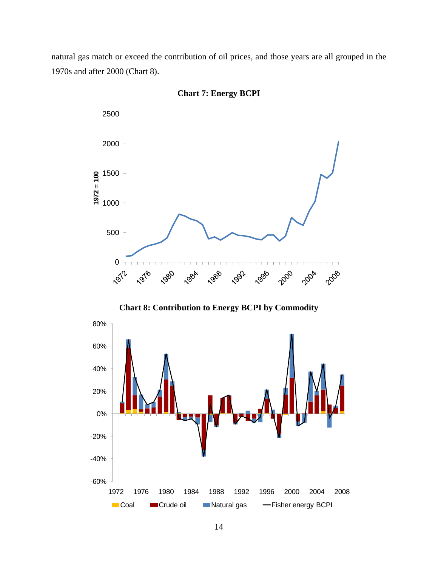natural gas match or exceed the contribution of oil prices, and those years are all grouped in the 1970s and after 2000 (Chart 8).



**Chart 7: Energy BCPI** 

**Chart 8: Contribution to Energy BCPI by Commodity** 

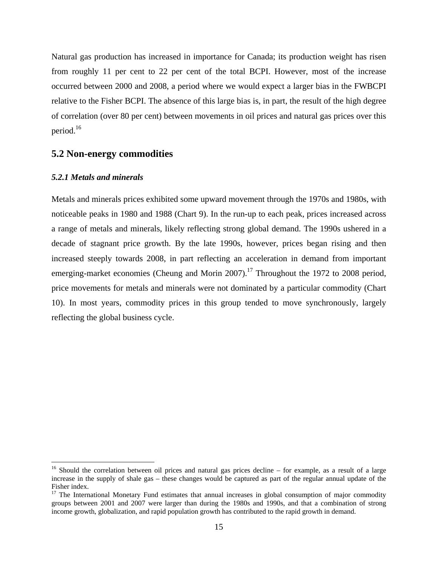Natural gas production has increased in importance for Canada; its production weight has risen from roughly 11 per cent to 22 per cent of the total BCPI. However, most of the increase occurred between 2000 and 2008, a period where we would expect a larger bias in the FWBCPI relative to the Fisher BCPI. The absence of this large bias is, in part, the result of the high degree of correlation (over 80 per cent) between movements in oil prices and natural gas prices over this period.16

#### **5.2 Non-energy commodities**

#### *5.2.1 Metals and minerals*

 $\overline{a}$ 

Metals and minerals prices exhibited some upward movement through the 1970s and 1980s, with noticeable peaks in 1980 and 1988 (Chart 9). In the run-up to each peak, prices increased across a range of metals and minerals, likely reflecting strong global demand. The 1990s ushered in a decade of stagnant price growth. By the late 1990s, however, prices began rising and then increased steeply towards 2008, in part reflecting an acceleration in demand from important emerging-market economies (Cheung and Morin 2007).<sup>17</sup> Throughout the 1972 to 2008 period, price movements for metals and minerals were not dominated by a particular commodity (Chart 10). In most years, commodity prices in this group tended to move synchronously, largely reflecting the global business cycle.

 $16$  Should the correlation between oil prices and natural gas prices decline – for example, as a result of a large increase in the supply of shale gas – these changes would be captured as part of the regular annual update of the Fisher index.

<sup>&</sup>lt;sup>17</sup> The International Monetary Fund estimates that annual increases in global consumption of major commodity groups between 2001 and 2007 were larger than during the 1980s and 1990s, and that a combination of strong income growth, globalization, and rapid population growth has contributed to the rapid growth in demand.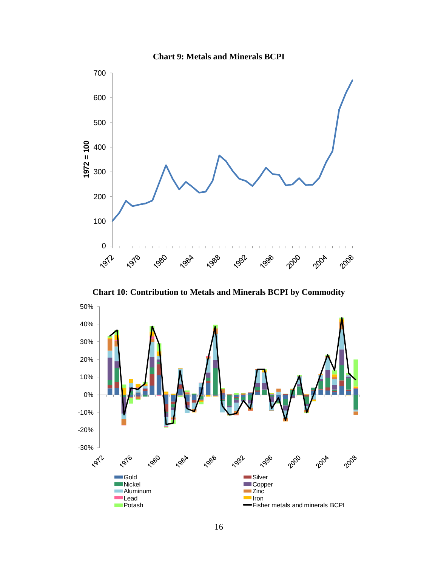

**Chart 10: Contribution to Metals and Minerals BCPI by Commodity** 



**Chart 9: Metals and Minerals BCPI**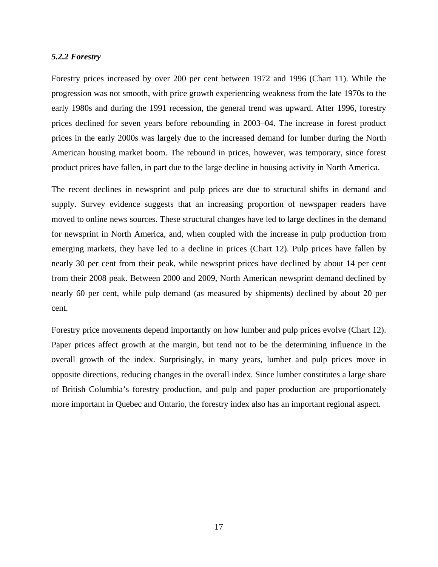#### *5.2.2 Forestry*

Forestry prices increased by over 200 per cent between 1972 and 1996 (Chart 11). While the progression was not smooth, with price growth experiencing weakness from the late 1970s to the early 1980s and during the 1991 recession, the general trend was upward. After 1996, forestry prices declined for seven years before rebounding in 2003–04. The increase in forest product prices in the early 2000s was largely due to the increased demand for lumber during the North American housing market boom. The rebound in prices, however, was temporary, since forest product prices have fallen, in part due to the large decline in housing activity in North America.

The recent declines in newsprint and pulp prices are due to structural shifts in demand and supply. Survey evidence suggests that an increasing proportion of newspaper readers have moved to online news sources. These structural changes have led to large declines in the demand for newsprint in North America, and, when coupled with the increase in pulp production from emerging markets, they have led to a decline in prices (Chart 12). Pulp prices have fallen by nearly 30 per cent from their peak, while newsprint prices have declined by about 14 per cent from their 2008 peak. Between 2000 and 2009, North American newsprint demand declined by nearly 60 per cent, while pulp demand (as measured by shipments) declined by about 20 per cent.

Forestry price movements depend importantly on how lumber and pulp prices evolve (Chart 12). Paper prices affect growth at the margin, but tend not to be the determining influence in the overall growth of the index. Surprisingly, in many years, lumber and pulp prices move in opposite directions, reducing changes in the overall index. Since lumber constitutes a large share of British Columbia's forestry production, and pulp and paper production are proportionately more important in Quebec and Ontario, the forestry index also has an important regional aspect.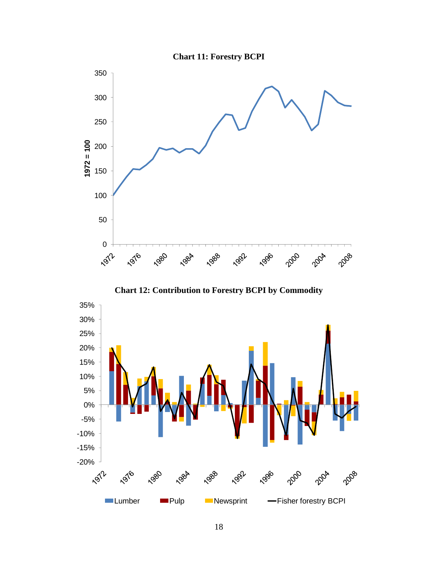



**Chart 12: Contribution to Forestry BCPI by Commodity** 

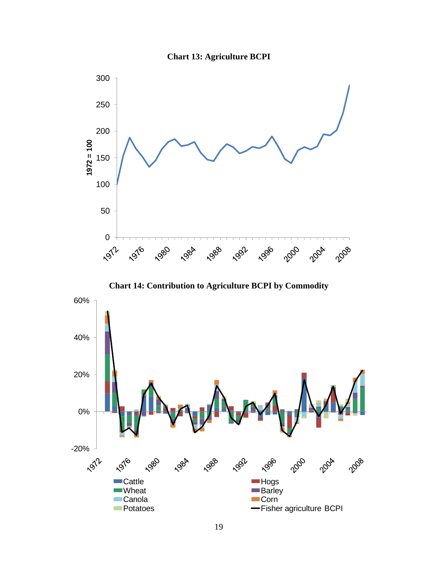





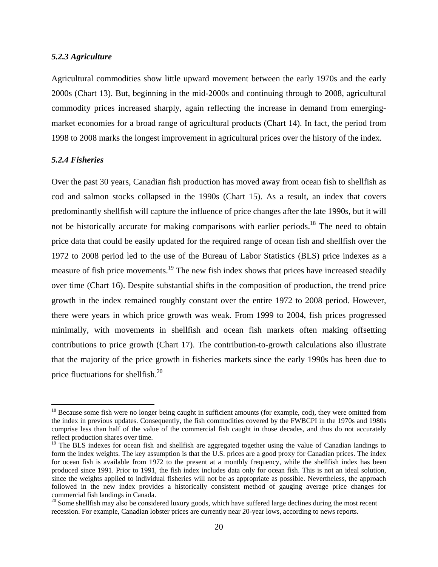#### *5.2.3 Agriculture*

Agricultural commodities show little upward movement between the early 1970s and the early 2000s (Chart 13). But, beginning in the mid-2000s and continuing through to 2008, agricultural commodity prices increased sharply, again reflecting the increase in demand from emergingmarket economies for a broad range of agricultural products (Chart 14). In fact, the period from 1998 to 2008 marks the longest improvement in agricultural prices over the history of the index.

#### *5.2.4 Fisheries*

 $\overline{a}$ 

Over the past 30 years, Canadian fish production has moved away from ocean fish to shellfish as cod and salmon stocks collapsed in the 1990s (Chart 15). As a result, an index that covers predominantly shellfish will capture the influence of price changes after the late 1990s, but it will not be historically accurate for making comparisons with earlier periods.<sup>18</sup> The need to obtain price data that could be easily updated for the required range of ocean fish and shellfish over the 1972 to 2008 period led to the use of the Bureau of Labor Statistics (BLS) price indexes as a measure of fish price movements.<sup>19</sup> The new fish index shows that prices have increased steadily over time (Chart 16). Despite substantial shifts in the composition of production, the trend price growth in the index remained roughly constant over the entire 1972 to 2008 period. However, there were years in which price growth was weak. From 1999 to 2004, fish prices progressed minimally, with movements in shellfish and ocean fish markets often making offsetting contributions to price growth (Chart 17). The contribution-to-growth calculations also illustrate that the majority of the price growth in fisheries markets since the early 1990s has been due to price fluctuations for shellfish.20

<sup>&</sup>lt;sup>18</sup> Because some fish were no longer being caught in sufficient amounts (for example, cod), they were omitted from the index in previous updates. Consequently, the fish commodities covered by the FWBCPI in the 1970s and 1980s comprise less than half of the value of the commercial fish caught in those decades, and thus do not accurately reflect production shares over time.

<sup>&</sup>lt;sup>19</sup> The BLS indexes for ocean fish and shellfish are aggregated together using the value of Canadian landings to form the index weights. The key assumption is that the U.S. prices are a good proxy for Canadian prices. The index for ocean fish is available from 1972 to the present at a monthly frequency, while the shellfish index has been produced since 1991. Prior to 1991, the fish index includes data only for ocean fish. This is not an ideal solution, since the weights applied to individual fisheries will not be as appropriate as possible. Nevertheless, the approach followed in the new index provides a historically consistent method of gauging average price changes for commercial fish landings in Canada.

<sup>&</sup>lt;sup>20</sup> Some shellfish may also be considered luxury goods, which have suffered large declines during the most recent recession. For example, Canadian lobster prices are currently near 20-year lows, according to news reports.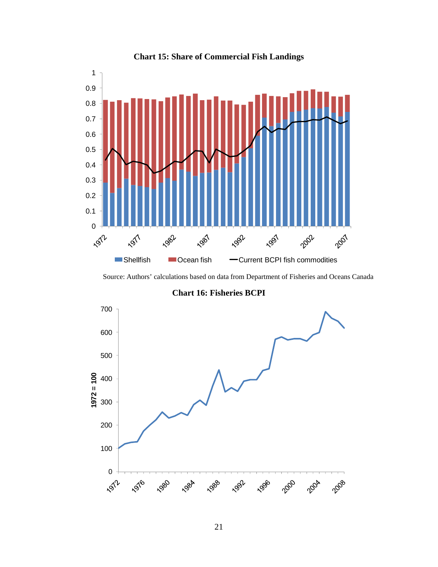

#### **Chart 15: Share of Commercial Fish Landings**

Source: Authors' calculations based on data from Department of Fisheries and Oceans Canada

**Chart 16: Fisheries BCPI** 

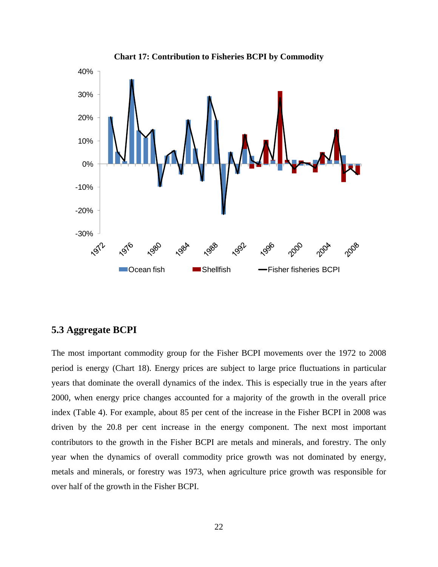

#### **Chart 17: Contribution to Fisheries BCPI by Commodity**

## **5.3 Aggregate BCPI**

The most important commodity group for the Fisher BCPI movements over the 1972 to 2008 period is energy (Chart 18). Energy prices are subject to large price fluctuations in particular years that dominate the overall dynamics of the index. This is especially true in the years after 2000, when energy price changes accounted for a majority of the growth in the overall price index (Table 4). For example, about 85 per cent of the increase in the Fisher BCPI in 2008 was driven by the 20.8 per cent increase in the energy component. The next most important contributors to the growth in the Fisher BCPI are metals and minerals, and forestry. The only year when the dynamics of overall commodity price growth was not dominated by energy, metals and minerals, or forestry was 1973, when agriculture price growth was responsible for over half of the growth in the Fisher BCPI.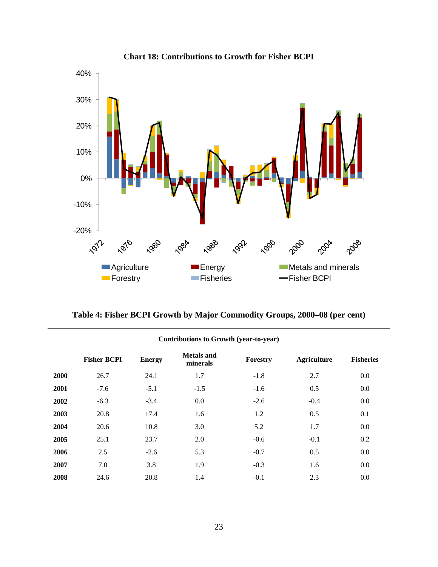

**Chart 18: Contributions to Growth for Fisher BCPI** 

**Table 4: Fisher BCPI Growth by Major Commodity Groups, 2000–08 (per cent)** 

| <b>Contributions to Growth (year-to-year)</b> |                    |               |                               |          |                    |                  |
|-----------------------------------------------|--------------------|---------------|-------------------------------|----------|--------------------|------------------|
|                                               | <b>Fisher BCPI</b> | <b>Energy</b> | <b>Metals</b> and<br>minerals | Forestry | <b>Agriculture</b> | <b>Fisheries</b> |
| 2000                                          | 26.7               | 24.1          | 1.7                           | $-1.8$   | 2.7                | 0.0              |
| 2001                                          | $-7.6$             | $-5.1$        | $-1.5$                        | $-1.6$   | 0.5                | 0.0              |
| 2002                                          | $-6.3$             | $-3.4$        | 0.0                           | $-2.6$   | $-0.4$             | 0.0              |
| 2003                                          | 20.8               | 17.4          | 1.6                           | 1.2      | 0.5                | 0.1              |
| 2004                                          | 20.6               | 10.8          | 3.0                           | 5.2      | 1.7                | 0.0              |
| 2005                                          | 25.1               | 23.7          | 2.0                           | $-0.6$   | $-0.1$             | 0.2              |
| 2006                                          | 2.5                | $-2.6$        | 5.3                           | $-0.7$   | 0.5                | 0.0              |
| 2007                                          | 7.0                | 3.8           | 1.9                           | $-0.3$   | 1.6                | $0.0\,$          |
| 2008                                          | 24.6               | 20.8          | 1.4                           | $-0.1$   | 2.3                | 0.0              |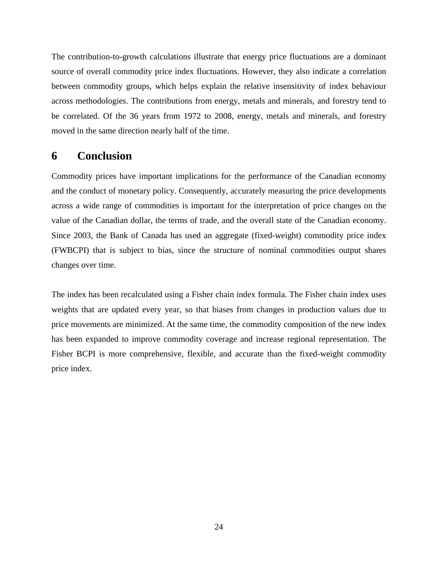The contribution-to-growth calculations illustrate that energy price fluctuations are a dominant source of overall commodity price index fluctuations. However, they also indicate a correlation between commodity groups, which helps explain the relative insensitivity of index behaviour across methodologies. The contributions from energy, metals and minerals, and forestry tend to be correlated. Of the 36 years from 1972 to 2008, energy, metals and minerals, and forestry moved in the same direction nearly half of the time.

## **6 Conclusion**

Commodity prices have important implications for the performance of the Canadian economy and the conduct of monetary policy. Consequently, accurately measuring the price developments across a wide range of commodities is important for the interpretation of price changes on the value of the Canadian dollar, the terms of trade, and the overall state of the Canadian economy. Since 2003, the Bank of Canada has used an aggregate (fixed-weight) commodity price index (FWBCPI) that is subject to bias, since the structure of nominal commodities output shares changes over time.

The index has been recalculated using a Fisher chain index formula. The Fisher chain index uses weights that are updated every year, so that biases from changes in production values due to price movements are minimized. At the same time, the commodity composition of the new index has been expanded to improve commodity coverage and increase regional representation. The Fisher BCPI is more comprehensive, flexible, and accurate than the fixed-weight commodity price index.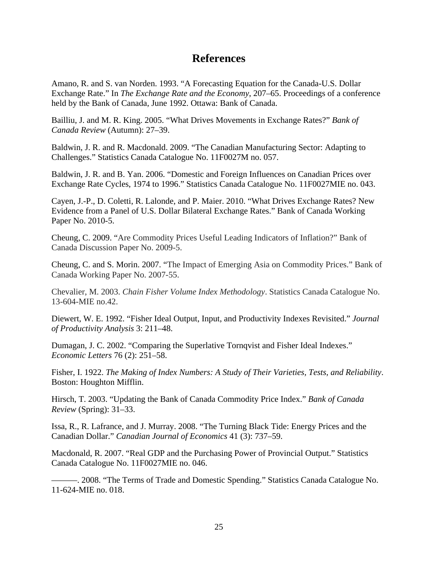## **References**

Amano, R. and S. van Norden. 1993. "A Forecasting Equation for the Canada-U.S. Dollar Exchange Rate." In *The Exchange Rate and the Economy*, 207–65. Proceedings of a conference held by the Bank of Canada, June 1992. Ottawa: Bank of Canada.

Bailliu, J. and M. R. King. 2005. "What Drives Movements in Exchange Rates?" *Bank of Canada Review* (Autumn): 27–39.

Baldwin, J. R. and R. Macdonald. 2009. "The Canadian Manufacturing Sector: Adapting to Challenges." Statistics Canada Catalogue No. 11F0027M no. 057.

Baldwin, J. R. and B. Yan. 2006. "Domestic and Foreign Influences on Canadian Prices over Exchange Rate Cycles, 1974 to 1996." Statistics Canada Catalogue No. 11F0027MIE no. 043.

Cayen, J.-P., D. Coletti, R. Lalonde, and P. Maier. 2010. "What Drives Exchange Rates? New Evidence from a Panel of U.S. Dollar Bilateral Exchange Rates." Bank of Canada Working Paper No. 2010-5.

Cheung, C. 2009. "Are Commodity Prices Useful Leading Indicators of Inflation?" Bank of Canada Discussion Paper No. 2009-5.

Cheung, C. and S. Morin. 2007. "The Impact of Emerging Asia on Commodity Prices." Bank of Canada Working Paper No. 2007-55.

Chevalier, M. 2003. *Chain Fisher Volume Index Methodology*. Statistics Canada Catalogue No. 13-604-MIE no.42.

Diewert, W. E. 1992. "Fisher Ideal Output, Input, and Productivity Indexes Revisited." *Journal of Productivity Analysis* 3: 211–48.

Dumagan, J. C. 2002. "Comparing the Superlative Tornqvist and Fisher Ideal Indexes." *Economic Letters* 76 (2): 251–58.

Fisher, I. 1922. *The Making of Index Numbers: A Study of Their Varieties, Tests, and Reliability*. Boston: Houghton Mifflin.

Hirsch, T. 2003. "Updating the Bank of Canada Commodity Price Index." *Bank of Canada Review* (Spring): 31–33.

Issa, R., R. Lafrance, and J. Murray. 2008. "The Turning Black Tide: Energy Prices and the Canadian Dollar." *Canadian Journal of Economics* 41 (3): 737–59.

Macdonald, R. 2007. "Real GDP and the Purchasing Power of Provincial Output." Statistics Canada Catalogue No. 11F0027MIE no. 046.

———. 2008. "The Terms of Trade and Domestic Spending." Statistics Canada Catalogue No. 11-624-MIE no. 018.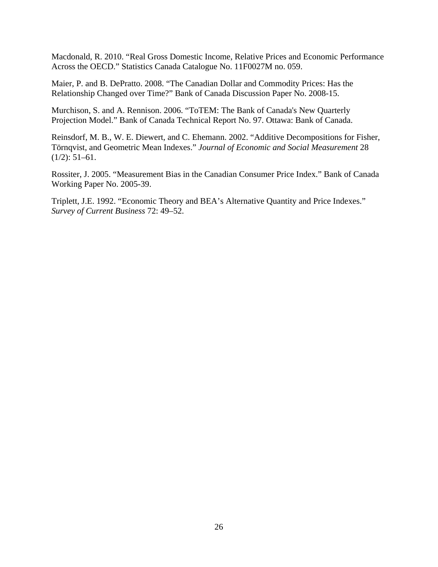Macdonald, R. 2010. "Real Gross Domestic Income, Relative Prices and Economic Performance Across the OECD." Statistics Canada Catalogue No. 11F0027M no. 059.

Maier, P. and B. DePratto. 2008. "The Canadian Dollar and Commodity Prices: Has the Relationship Changed over Time?" Bank of Canada Discussion Paper No. 2008-15.

Murchison, S. and A. Rennison. 2006. "ToTEM: The Bank of Canada's New Quarterly Projection Model." Bank of Canada Technical Report No. 97. Ottawa: Bank of Canada.

Reinsdorf, M. B., W. E. Diewert, and C. Ehemann. 2002. "Additive Decompositions for Fisher, Törnqvist, and Geometric Mean Indexes." *Journal of Economic and Social Measurement* 28  $(1/2)$ : 51–61.

Rossiter, J. 2005. "Measurement Bias in the Canadian Consumer Price Index." Bank of Canada Working Paper No. 2005-39.

Triplett, J.E. 1992. "Economic Theory and BEA's Alternative Quantity and Price Indexes." *Survey of Current Business* 72: 49–52.